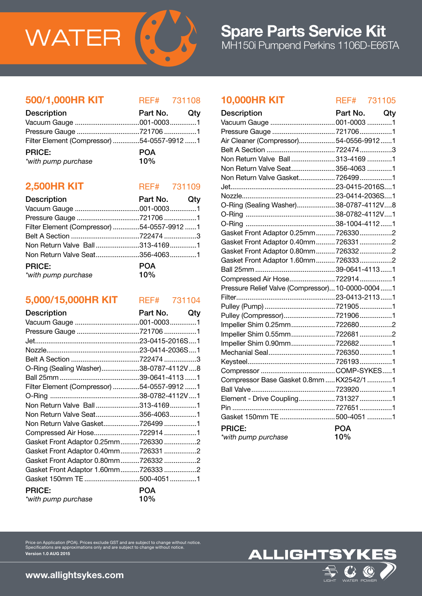

#### 500/1,000HR KIT REF# 731108

| <b>Description</b>                         | Part No. Qty |  |
|--------------------------------------------|--------------|--|
|                                            |              |  |
|                                            |              |  |
| Filter Element (Compressor) 54-0557-9912 1 |              |  |
| <b>PRICE:</b>                              | <b>POA</b>   |  |
| *with pump purchase                        | 10%          |  |

### **2,500HR KIT** REF# 731109

| <b>Description</b>                         | Part No. Qty |  |
|--------------------------------------------|--------------|--|
|                                            |              |  |
|                                            |              |  |
| Filter Element (Compressor) 54-0557-9912 1 |              |  |
|                                            |              |  |
| Non Return Valve Ball313-41691             |              |  |
|                                            |              |  |
| <b>PRICE:</b>                              | <b>POA</b>   |  |
| 10%<br>*with pump purchase                 |              |  |

## 5,000/15,000HR KIT REF# 731104

| <b>Description</b>                         | Part No.<br>Qty |
|--------------------------------------------|-----------------|
|                                            |                 |
| Pressure Gauge 721706 1                    |                 |
|                                            |                 |
|                                            |                 |
|                                            |                 |
| O-Ring (Sealing Washer)38-0787-4112V8      |                 |
|                                            |                 |
| Filter Element (Compressor) 54-0557-9912 1 |                 |
|                                            |                 |
| Non Return Valve Ball313-41691             |                 |
| Non Return Valve Seat356-40631             |                 |
| Non Return Valve Gasket7264991             |                 |
| Compressed Air Hose7229141                 |                 |
| Gasket Front Adaptor 0.25mm7263302         |                 |
| Gasket Front Adaptor 0.40mm7263312         |                 |
| Gasket Front Adaptor 0.80mm7263322         |                 |
| Gasket Front Adaptor 1.60mm7263332         |                 |
| Gasket 150mm TE 500-40511                  |                 |
| <b>PRICE:</b>                              | <b>POA</b>      |
| *with pump purchase                        | 10%             |

Price on Application (POA). Prices exclude GST and are subject to change without notice. Specifications are approximations only and are subject to change without notice.

### 10,000HR KIT REF# 731105

| <b>Description</b>                               | Part No. Qty |  |
|--------------------------------------------------|--------------|--|
|                                                  |              |  |
| Pressure Gauge 7217061                           |              |  |
| Air Cleaner (Compressor)54-0556-99121            |              |  |
|                                                  |              |  |
| Non Return Valve Ball313-41691                   |              |  |
| Non Return Valve Seat356-4063 1                  |              |  |
| Non Return Valve Gasket 7264991                  |              |  |
|                                                  |              |  |
|                                                  |              |  |
| O-Ring (Sealing Washer)38-0787-4112V8            |              |  |
|                                                  |              |  |
|                                                  |              |  |
| Gasket Front Adaptor 0.25mm7263302               |              |  |
| Gasket Front Adaptor 0.40mm 7263312              |              |  |
| Gasket Front Adaptor 0.80mm 7263322              |              |  |
| Gasket Front Adaptor 1.60mm 7263332              |              |  |
|                                                  |              |  |
| Compressed Air Hose 7229141                      |              |  |
| Pressure Relief Valve (Compressor) 10-0000-00041 |              |  |
|                                                  |              |  |
|                                                  |              |  |
| Pulley (Compressor)7219061                       |              |  |
| Impeller Shim 0.25mm7226802                      |              |  |
| Impeller Shim 0.55mm7226812                      |              |  |
|                                                  |              |  |
| Mechanial Seal7263501                            |              |  |
|                                                  |              |  |
|                                                  |              |  |
| Compressor Base Gasket 0.8mm  KX2542/1 1         |              |  |
|                                                  |              |  |
| Element - Drive Coupling 7313271                 |              |  |
|                                                  |              |  |
| Gasket 150mm TE 500-4051 1                       |              |  |
| <b>PRICE:</b>                                    | <b>POA</b>   |  |
| *with pump purchase                              | 10%          |  |



www.allightsykes.com

Version 1.0 AUG 2015